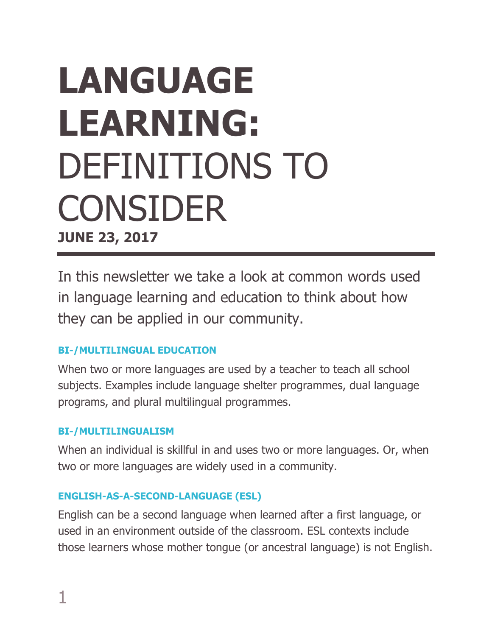# **LANGUAGE LEARNING:** DEFINITIONS TO CONSIDER **JUNE 23, 2017**

In this newsletter we take a look at common words used in language learning and education to think about how they can be applied in our community.

# **BI-/MULTILINGUAL EDUCATION**

When two or more languages are used by a teacher to teach all school subjects. Examples include language shelter programmes, dual language programs, and plural multilingual programmes.

# **BI-/MULTILINGUALISM**

When an individual is skillful in and uses two or more languages. Or, when two or more languages are widely used in a community.

# **ENGLISH-AS-A-SECOND-LANGUAGE (ESL)**

English can be a second language when learned after a first language, or used in an environment outside of the classroom. ESL contexts include those learners whose mother tongue (or ancestral language) is not English.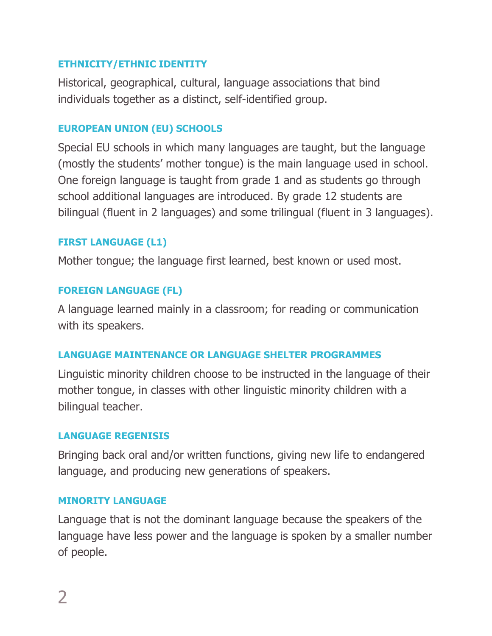#### **ETHNICITY/ETHNIC IDENTITY**

Historical, geographical, cultural, language associations that bind individuals together as a distinct, self-identified group.

## **EUROPEAN UNION (EU) SCHOOLS**

Special EU schools in which many languages are taught, but the language (mostly the students' mother tongue) is the main language used in school. One foreign language is taught from grade 1 and as students go through school additional languages are introduced. By grade 12 students are bilingual (fluent in 2 languages) and some trilingual (fluent in 3 languages).

## **FIRST LANGUAGE (L1)**

Mother tongue; the language first learned, best known or used most.

#### **FOREIGN LANGUAGE (FL)**

A language learned mainly in a classroom; for reading or communication with its speakers.

#### **LANGUAGE MAINTENANCE OR LANGUAGE SHELTER PROGRAMMES**

Linguistic minority children choose to be instructed in the language of their mother tongue, in classes with other linguistic minority children with a bilingual teacher.

#### **LANGUAGE REGENISIS**

Bringing back oral and/or written functions, giving new life to endangered language, and producing new generations of speakers.

#### **MINORITY LANGUAGE**

Language that is not the dominant language because the speakers of the language have less power and the language is spoken by a smaller number of people.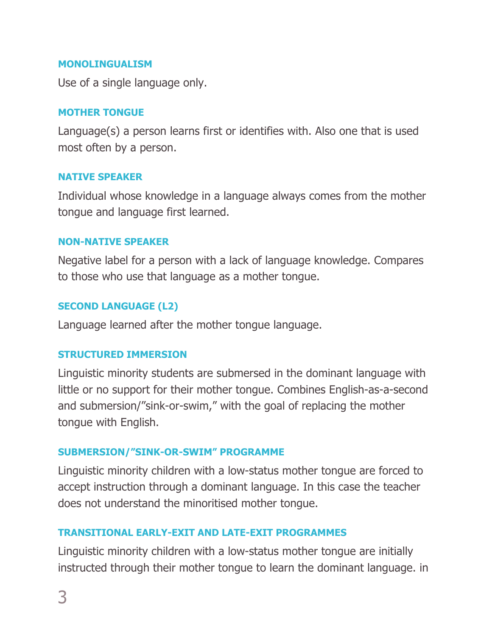#### **MONOLINGUALISM**

Use of a single language only.

#### **MOTHER TONGUE**

Language(s) a person learns first or identifies with. Also one that is used most often by a person.

#### **NATIVE SPEAKER**

Individual whose knowledge in a language always comes from the mother tongue and language first learned.

#### **NON-NATIVE SPEAKER**

Negative label for a person with a lack of language knowledge. Compares to those who use that language as a mother tongue.

## **SECOND LANGUAGE (L2)**

Language learned after the mother tongue language.

#### **STRUCTURED IMMERSION**

Linguistic minority students are submersed in the dominant language with little or no support for their mother tongue. Combines English-as-a-second and submersion/"sink-or-swim," with the goal of replacing the mother tongue with English.

# **SUBMERSION/"SINK-OR-SWIM" PROGRAMME**

Linguistic minority children with a low-status mother tongue are forced to accept instruction through a dominant language. In this case the teacher does not understand the minoritised mother tongue.

# **TRANSITIONAL EARLY-EXIT AND LATE-EXIT PROGRAMMES**

Linguistic minority children with a low-status mother tongue are initially instructed through their mother tongue to learn the dominant language. in